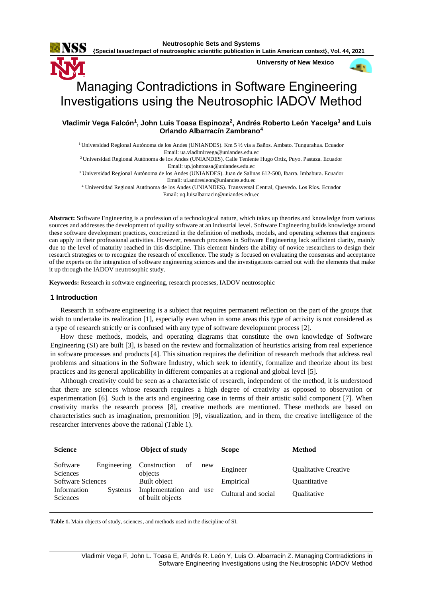**{Special Issue:Impact of neutrosophic scientific publication in Latin American context}, Vol. 44, 2021**

**University of New Mexico**



# Managing Contradictions in Software Engineering Investigations using the Neutrosophic IADOV Method

**Vladimir Vega Falcón<sup>1</sup> , John Luis Toasa Espinoza<sup>2</sup> , Andrés Roberto León Yacelga<sup>3</sup> and Luis Orlando Albarracín Zambrano<sup>4</sup>**

<sup>1</sup> Universidad Regional Autónoma de los Andes (UNIANDES). Km 5 ½ vía a Baños. Ambato. Tungurahua. Ecuador Email[: ua.vladimirvega@uniandes.edu.ec](mailto:ua.vladimirvega@uniandes.edu.ec)

<sup>2</sup>Universidad Regional Autónoma de los Andes (UNIANDES). Calle Teniente Hugo Ortiz, Puyo. Pastaza. Ecuador Email: [up.johntoasa@uniandes.edu.ec](mailto:up.johntoasa@uniandes.edu.ec)

<sup>3</sup> Universidad Regional Autónoma de los Andes (UNIANDES). Juan de Salinas 612-500, Ibarra. Imbabura. Ecuador Email[: ui.andresleon@uniandes.edu.ec](mailto:ui.andresleon@uniandes.edu.ec)

<sup>4</sup> Universidad Regional Autónoma de los Andes (UNIANDES). Transversal Central, Quevedo. Los Ríos. Ecuador Email[: uq.luisalbarracin@uniandes.edu.ec](mailto:uq.luisalbarracin@uniandes.edu.ec)

**Abstract:** Software Engineering is a profession of a technological nature, which takes up theories and knowledge from various sources and addresses the development of quality software at an industrial level. Software Engineering builds knowledge around these software development practices, concretized in the definition of methods, models, and operating schemes that engineers can apply in their professional activities. However, research processes in Software Engineering lack sufficient clarity, mainly due to the level of maturity reached in this discipline. This element hinders the ability of novice researchers to design their research strategies or to recognize the research of excellence. The study is focused on evaluating the consensus and acceptance of the experts on the integration of software engineering sciences and the investigations carried out with the elements that make it up through the IADOV neutrosophic study.

**Keywords:** Research in software engineering, research processes, IADOV neutrosophic

### **1 Introduction**

Research in software engineering is a subject that requires permanent reflection on the part of the groups that wish to undertake its realization [\[1\]](#page-6-0), especially even when in some areas this type of activity is not considered as a type of research strictly or is confused with any type of software development process [\[2\]](#page-6-1).

How these methods, models, and operating diagrams that constitute the own knowledge of Software Engineering (SI) are built [\[3\]](#page-6-2), is based on the review and formalization of heuristics arising from real experience in software processes and products [\[4\]](#page-6-3). This situation requires the definition of research methods that address real problems and situations in the Software Industry, which seek to identify, formalize and theorize about its best practices and its general applicability in different companies at a regional and global level [\[5\]](#page-6-4).

Although creativity could be seen as a characteristic of research, independent of the method, it is understood that there are sciences whose research requires a high degree of creativity as opposed to observation or experimentation [\[6\]](#page-6-5). Such is the arts and engineering case in terms of their artistic solid component [\[7\]](#page-6-6). When creativity marks the research process [\[8\]](#page-6-7), creative methods are mentioned. These methods are based on characteristics such as imagination, premonition [\[9\]](#page-6-8), visualization, and in them, the creative intelligence of the researcher intervenes above the rational (Table 1).

| <b>Science</b>              |                | Object of study                            | <b>Scope</b>        | Method                      |
|-----------------------------|----------------|--------------------------------------------|---------------------|-----------------------------|
| Software<br><b>Sciences</b> | Engineering    | Construction<br>of<br>new<br>objects       | Engineer            | <b>Oualitative Creative</b> |
| <b>Software Sciences</b>    |                | Built object                               | Empirical           | <b>Ouantitative</b>         |
| Information<br>Sciences     | <b>Systems</b> | Implementation and use<br>of built objects | Cultural and social | <i><b>Oualitative</b></i>   |

**Table 1.** Main objects of study, sciences, and methods used in the discipline of SI.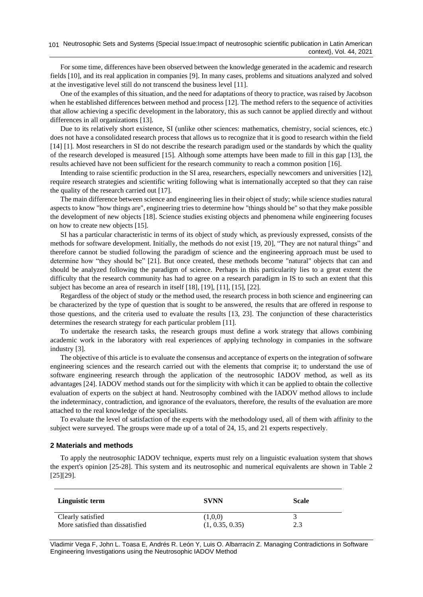For some time, differences have been observed between the knowledge generated in the academic and research fields [\[10\]](#page-6-9), and its real application in companies [\[9\]](#page-6-8). In many cases, problems and situations analyzed and solved at the investigative level still do not transcend the business level [\[11\]](#page-6-10).

One of the examples of this situation, and the need for adaptations of theory to practice, was raised by Jacobson when he established differences between method and process [\[12\]](#page-6-11). The method refers to the sequence of activities that allow achieving a specific development in the laboratory, this as such cannot be applied directly and without differences in all organizations [\[13\]](#page-6-12).

Due to its relatively short existence, SI (unlike other sciences: mathematics, chemistry, social sciences, etc.) does not have a consolidated research process that allows us to recognize that it is good to research within the field [\[14\]](#page-6-13) [\[1\]](#page-6-0). Most researchers in SI do not describe the research paradigm used or the standards by which the quality of the research developed is measured [\[15\]](#page-6-14). Although some attempts have been made to fill in this gap [\[13\]](#page-6-12), the results achieved have not been sufficient for the research community to reach a common position [\[16\]](#page-6-15).

Intending to raise scientific production in the SI area, researchers, especially newcomers and universities [\[12\]](#page-6-11), require research strategies and scientific writing following what is internationally accepted so that they can raise the quality of the research carried out [\[17\]](#page-6-16).

The main difference between science and engineering lies in their object of study; while science studies natural aspects to know "how things are", engineering tries to determine how "things should be" so that they make possible the development of new objects [\[18\]](#page-6-17). Science studies existing objects and phenomena while engineering focuses on how to create new objects [\[15\]](#page-6-14).

SI has a particular characteristic in terms of its object of study which, as previously expressed, consists of the methods for software development. Initially, the methods do not exist [\[19,](#page-6-18) [20\]](#page-6-19), "They are not natural things" and therefore cannot be studied following the paradigm of science and the engineering approach must be used to determine how "they should be" [\[21\]](#page-6-20). But once created, these methods become "natural" objects that can and should be analyzed following the paradigm of science. Perhaps in this particularity lies to a great extent the difficulty that the research community has had to agree on a research paradigm in IS to such an extent that this subject has become an area of research in itself [\[18\]](#page-6-17), [\[19\]](#page-6-18), [\[11\]](#page-6-10), [\[15\]](#page-6-14), [\[22\]](#page-6-21).

Regardless of the object of study or the method used, the research process in both science and engineering can be characterized by the type of question that is sought to be answered, the results that are offered in response to those questions, and the criteria used to evaluate the results [\[13,](#page-6-12) [23\]](#page-6-22). The conjunction of these characteristics determines the research strategy for each particular problem [\[11\]](#page-6-10).

To undertake the research tasks, the research groups must define a work strategy that allows combining academic work in the laboratory with real experiences of applying technology in companies in the software industry [\[3\]](#page-6-2).

The objective of this article is to evaluate the consensus and acceptance of experts on the integration of software engineering sciences and the research carried out with the elements that comprise it; to understand the use of software engineering research through the application of the neutrosophic IADOV method, as well as its advantages [\[24\]](#page-6-23). IADOV method stands out for the simplicity with which it can be applied to obtain the collective evaluation of experts on the subject at hand. Neutrosophy combined with the IADOV method allows to include the indeterminacy, contradiction, and ignorance of the evaluators, therefore, the results of the evaluation are more attached to the real knowledge of the specialists.

To evaluate the level of satisfaction of the experts with the methodology used, all of them with affinity to the subject were surveyed. The groups were made up of a total of 24, 15, and 21 experts respectively.

#### **2 Materials and methods**

To apply the neutrosophic IADOV technique, experts must rely on a linguistic evaluation system that shows the expert's opinion [\[25-28\]](#page-6-24). This system and its neutrosophic and numerical equivalents are shown in Table 2 [\[25\]](#page-6-24)[\[29\]](#page-7-0).

| Linguistic term                                       | <b>SVNN</b>                | <b>Scale</b> |
|-------------------------------------------------------|----------------------------|--------------|
| Clearly satisfied<br>More satisfied than dissatisfied | (1,0,0)<br>(1, 0.35, 0.35) | 2.3          |

Vladimir Vega F, John L. Toasa E, Andrés R. León Y, Luis O. Albarracín Z. Managing Contradictions in Software Engineering Investigations using the Neutrosophic IADOV Method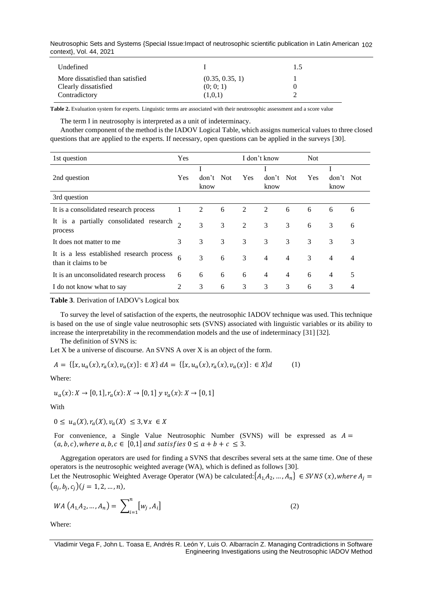Neutrosophic Sets and Systems {Special Issue:Impact of neutrosophic scientific publication in Latin American 102 context}, Vol. 44, 2021

| Undefined                                                                 |                                         | 1.5 |
|---------------------------------------------------------------------------|-----------------------------------------|-----|
| More dissatisfied than satisfied<br>Clearly dissatisfied<br>Contradictory | (0.35, 0.35, 1)<br>(0; 0; 1)<br>(1,0,1) |     |

**Table 2.** Evaluation system for experts. Linguistic terms are associated with their neutrosophic assessment and a score value

The term I in neutrosophy is interpreted as a unit of indeterminacy.

Another component of the method is the IADOV Logical Table, which assigns numerical values to three closed questions that are applied to the experts. If necessary, open questions can be applied in the surveys [\[30\]](#page-7-1).

| 1st question                                                      | Yes            |                   |   |            | I don't know   |                | <b>Not</b> |                   |   |
|-------------------------------------------------------------------|----------------|-------------------|---|------------|----------------|----------------|------------|-------------------|---|
| 2nd question                                                      | Yes            | don't Not<br>know |   | <b>Yes</b> | don't<br>know  | Not            | <b>Yes</b> | don't Not<br>know |   |
| 3rd question                                                      |                |                   |   |            |                |                |            |                   |   |
| It is a consolidated research process                             | 1              | 2                 | 6 | 2          | 2              | 6              | 6          | 6                 | 6 |
| It is a partially consolidated research<br>process                | $\overline{2}$ | 3                 | 3 | 2          | 3              | 3              | 6          | 3                 | 6 |
| It does not matter to me                                          | 3              | 3                 | 3 | 3          | 3              | 3              | 3          | 3                 | 3 |
| It is a less established research process<br>than it claims to be | 6              | 3                 | 6 | 3          | $\overline{4}$ | $\overline{4}$ | 3          | $\overline{4}$    | 4 |
| It is an unconsolidated research process                          | 6              | 6                 | 6 | 6          | $\overline{4}$ | $\overline{4}$ | 6          | $\overline{4}$    | 5 |
| I do not know what to say                                         | 2              | 3                 | 6 | 3          | 3              | 3              | 6          | 3                 | 4 |

**Table 3**. Derivation of IADOV's Logical box

To survey the level of satisfaction of the experts, the neutrosophic IADOV technique was used. This technique is based on the use of single value neutrosophic sets (SVNS) associated with linguistic variables or its ability to increase the interpretability in the recommendation models and the use of indeterminacy [\[31\]](#page-7-2) [\[32\]](#page-7-3).

The definition of SVNS is:

Let X be a universe of discourse. An SVNS A over X is an object of the form.

$$
A = \{ [x, u_a(x), r_a(x), v_a(x)] : \in X \} dA = \{ [x, u_a(x), r_a(x), v_a(x)] : \in X \} d \tag{1}
$$

Where:

$$
u_a(x): X \to [0,1], r_a(x): X \to [0,1] \ y \ v_a(x): X \to [0,1]
$$

With

 $0 \leq u_a(X), r_a(X), v_a(X) \leq 3, \forall x \in X$ 

For convenience, a Single Value Neutrosophic Number (SVNS) will be expressed as  $A =$  $(a, b, c)$ , where  $a, b, c \in [0, 1]$  and satisfies  $0 \le a + b + c \le 3$ .

Aggregation operators are used for finding a SVNS that describes several sets at the same time. One of these operators is the neutrosophic weighted average (WA), which is defined as follows [\[30\]](#page-7-1). Let the Neutrosophic Weighted Average Operator (WA) be calculated:  $\{A_1, A_2, ..., A_n\} \in SVNS(x)$ , where  $A_j =$  $(a_j, b_j, c_j)(j = 1, 2, ..., n),$ 

$$
WA\left(A_{1,}A_{2},...,A_{n}\right)=\sum\nolimits_{i=1}^{n}[w_{j},A_{i}]
$$
\n(2)

Where:

Vladimir Vega F, John L. Toasa E, Andrés R. León Y, Luis O. Albarracín Z. Managing Contradictions in Software Engineering Investigations using the Neutrosophic IADOV Method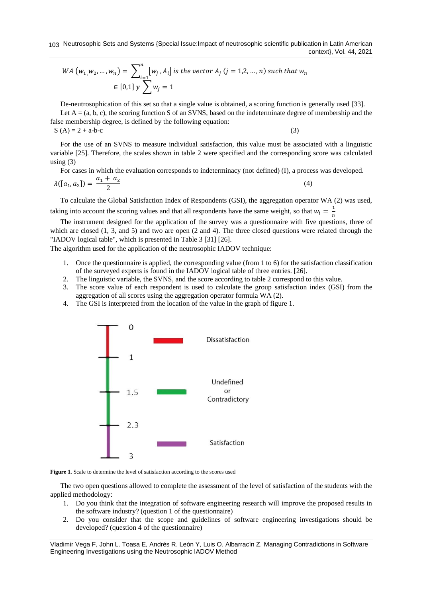$$
WA (w_1, w_2, ..., w_n) = \sum_{i=1}^{n} [w_j, A_i] \text{ is the vector } A_j \text{ (j = 1,2, ..., n) such that } w_n
$$
  
 
$$
\in [0,1] \text{ y } \sum_{j=1}^{n} w_j = 1
$$

De-neutrosophication of this set so that a single value is obtained, a scoring function is generally used [\[33\]](#page-7-4).

Let  $A = (a, b, c)$ , the scoring function S of an SVNS, based on the indeterminate degree of membership and the false membership degree, is defined by the following equation:

 $S(A) = 2 + a-b-c$  (3)

For the use of an SVNS to measure individual satisfaction, this value must be associated with a linguistic variable [\[25\]](#page-6-24). Therefore, the scales shown in table 2 were specified and the corresponding score was calculated using  $(3)$ 

For cases in which the evaluation corresponds to indeterminacy (not defined) (I), a process was developed.

$$
\lambda([a_1, a_2]) = \frac{a_1 + a_2}{2} \tag{4}
$$

To calculate the Global Satisfaction Index of Respondents (GSI), the aggregation operator WA (2) was used, taking into account the scoring values and that all respondents have the same weight, so that  $w_i = \frac{1}{n}$  $\boldsymbol{n}$ 

The instrument designed for the application of the survey was a questionnaire with five questions, three of which are closed (1, 3, and 5) and two are open (2 and 4). The three closed questions were related through the "IADOV logical table", which is presented in Table 3 [\[31\]](#page-7-2) [\[26\]](#page-7-5).

The algorithm used for the application of the neutrosophic IADOV technique:

- 1. Once the questionnaire is applied, the corresponding value (from 1 to 6) for the satisfaction classification of the surveyed experts is found in the IADOV logical table of three entries. [\[26\]](#page-7-5).
- 2. The linguistic variable, the SVNS, and the score according to table 2 correspond to this value.
- 3. The score value of each respondent is used to calculate the group satisfaction index (GSI) from the aggregation of all scores using the aggregation operator formula WA (2).
- 4. The GSI is interpreted from the location of the value in the graph of figure 1.





The two open questions allowed to complete the assessment of the level of satisfaction of the students with the applied methodology:

- 1. Do you think that the integration of software engineering research will improve the proposed results in the software industry? (question 1 of the questionnaire)
- 2. Do you consider that the scope and guidelines of software engineering investigations should be developed? (question 4 of the questionnaire)

Vladimir Vega F, John L. Toasa E, Andrés R. León Y, Luis O. Albarracín Z. Managing Contradictions in Software Engineering Investigations using the Neutrosophic IADOV Method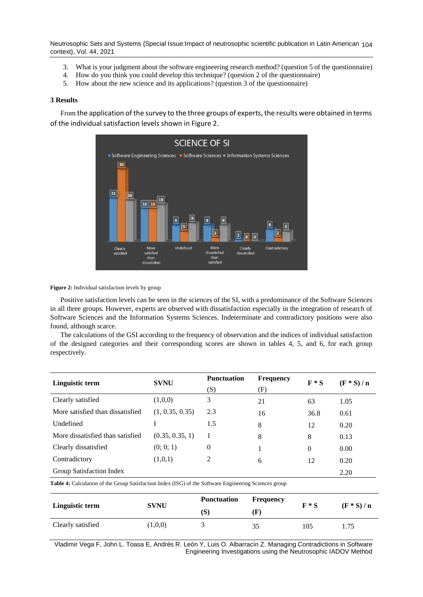Neutrosophic Sets and Systems {Special Issue:Impact of neutrosophic scientific publication in Latin American 104 context}, Vol. 44, 2021

- 3. What is your judgment about the software engineering research method? (question 5 of the questionnaire)
- 4. How do you think you could develop this technique? (question 2 of the questionnaire)
- 5. How about the new science and its applications? (question 3 of the questionnaire)

#### **3 Results**

From the application of the survey to the three groups of experts, the results were obtained in terms of the individual satisfaction levels shown in Figure 2.



#### **Figure 2:** Individual satisfaction levels by group

Positive satisfaction levels can be seen in the sciences of the SI, with a predominance of the Software Sciences in all three groups. However, experts are observed with dissatisfaction especially in the integration of research of Software Sciences and the Information Systems Sciences. Indeterminate and contradictory positions were also found, although scarce.

The calculations of the GSI according to the frequency of observation and the indices of individual satisfaction of the designed categories and their corresponding scores are shown in tables 4, 5, and 6, for each group respectively.

| Linguistic term                                                                                              | <b>SVNU</b>     | <b>Punctuation</b><br><b>Frequency</b> |     | $F * S$  | $(F * S) / n$ |  |  |
|--------------------------------------------------------------------------------------------------------------|-----------------|----------------------------------------|-----|----------|---------------|--|--|
|                                                                                                              |                 | (S)                                    | (F) |          |               |  |  |
| Clearly satisfied                                                                                            | (1,0,0)         | 3                                      | 21  | 63       | 1.05          |  |  |
| More satisfied than dissatisfied                                                                             | (1, 0.35, 0.35) | 2.3                                    | 16  | 36.8     | 0.61          |  |  |
| Undefined                                                                                                    |                 | 1.5                                    | 8   | 12       | 0.20          |  |  |
| More dissatisfied than satisfied                                                                             | (0.35, 0.35, 1) | 1                                      | 8   | 8        | 0.13          |  |  |
| Clearly dissatisfied                                                                                         | (0; 0; 1)       | 0                                      |     | $\Omega$ | 0.00          |  |  |
| Contradictory                                                                                                | (1,0,1)         | 2                                      | 6   | 12       | 0.20          |  |  |
| Group Satisfaction Index                                                                                     |                 |                                        |     |          | 2.20          |  |  |
| <b>Table 4:</b> Calculation of the Group Satisfaction Index (ISG) of the Software Engineering Sciences group |                 |                                        |     |          |               |  |  |

| Linguistic term   | <b>SVNU</b> | <b>Punctuation</b><br>Frequency |     | $F * S$ | $(F * S) / n$ |
|-------------------|-------------|---------------------------------|-----|---------|---------------|
|                   |             | (S)                             | .F) |         |               |
| Clearly satisfied | (1,0,0)     |                                 | 35  | 105     | 1.75          |

Vladimir Vega F, John L. Toasa E, Andrés R. León Y, Luis O. Albarracín Z. Managing Contradictions in Software Engineering Investigations using the Neutrosophic IADOV Method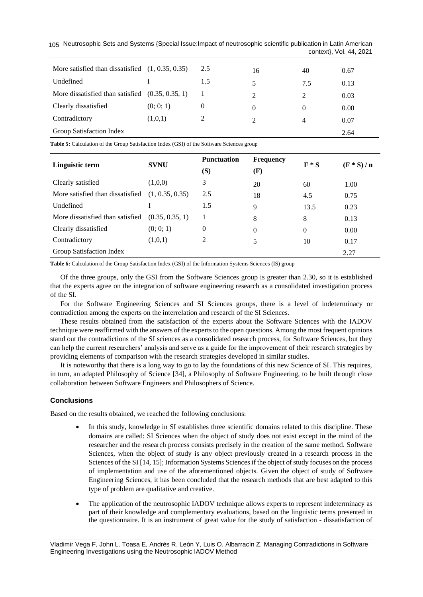| 105 Neutrosophic Sets and Systems {Special Issue: Impact of neutrosophic scientific publication in Latin American |  |                         |  |
|-------------------------------------------------------------------------------------------------------------------|--|-------------------------|--|
|                                                                                                                   |  | context}, Vol. 44, 2021 |  |

| More satisfied than dissatisfied $(1, 0.35, 0.35)$ |           | 2.5      | 16             | 40  | 0.67 |
|----------------------------------------------------|-----------|----------|----------------|-----|------|
| Undefined                                          |           | 1.5      | 5              | 7.5 | 0.13 |
| More dissatisfied than satisfied $(0.35, 0.35, 1)$ |           |          | 2              | 2   | 0.03 |
| Clearly dissatisfied                               | (0; 0; 1) | $\theta$ | $\Omega$       | 0   | 0.00 |
| Contradictory                                      | (1,0,1)   |          | $\mathfrak{D}$ | 4   | 0.07 |
| Group Satisfaction Index                           |           |          |                |     | 2.64 |

**Table 5:** Calculation of the Group Satisfaction Index (GSI) of the Software Sciences group

|                                  | <b>SVNU</b>     | <b>Punctuation</b> | <b>Frequency</b> | $F * S$  | $(F * S) / n$ |
|----------------------------------|-----------------|--------------------|------------------|----------|---------------|
| Linguistic term                  |                 | (S)                | (F)              |          |               |
| Clearly satisfied                | (1,0,0)         | 3                  | 20               | 60       | 1.00          |
| More satisfied than dissatisfied | (1, 0.35, 0.35) | 2.5                | 18               | 4.5      | 0.75          |
| Undefined                        |                 | 1.5                | 9                | 13.5     | 0.23          |
| More dissatisfied than satisfied | (0.35, 0.35, 1) | 1                  | 8                | 8        | 0.13          |
| Clearly dissatisfied             | (0; 0; 1)       | $\theta$           | $\theta$         | $\Omega$ | 0.00          |
| Contradictory                    | (1,0,1)         | 2                  | 5                | 10       | 0.17          |
| Group Satisfaction Index         |                 |                    |                  | 2.27     |               |

**Table 6:** Calculation of the Group Satisfaction Index (GSI) of the Information Systems Sciences (IS) group

Of the three groups, only the GSI from the Software Sciences group is greater than 2.30, so it is established that the experts agree on the integration of software engineering research as a consolidated investigation process of the SI.

For the Software Engineering Sciences and SI Sciences groups, there is a level of indeterminacy or contradiction among the experts on the interrelation and research of the SI Sciences.

These results obtained from the satisfaction of the experts about the Software Sciences with the IADOV technique were reaffirmed with the answers of the experts to the open questions. Among the most frequent opinions stand out the contradictions of the SI sciences as a consolidated research process, for Software Sciences, but they can help the current researchers' analysis and serve as a guide for the improvement of their research strategies by providing elements of comparison with the research strategies developed in similar studies.

It is noteworthy that there is a long way to go to lay the foundations of this new Science of SI. This requires, in turn, an adapted Philosophy of Science [\[34\]](#page-7-6), a Philosophy of Software Engineering, to be built through close collaboration between Software Engineers and Philosophers of Science.

# **Conclusions**

Based on the results obtained, we reached the following conclusions:

- In this study, knowledge in SI establishes three scientific domains related to this discipline. These domains are called: SI Sciences when the object of study does not exist except in the mind of the researcher and the research process consists precisely in the creation of the same method. Software Sciences, when the object of study is any object previously created in a research process in the Sciences of the SI [\[14,](#page-6-13) [15\]](#page-6-14); Information Systems Sciences if the object of study focuses on the process of implementation and use of the aforementioned objects. Given the object of study of Software Engineering Sciences, it has been concluded that the research methods that are best adapted to this type of problem are qualitative and creative.
- The application of the neutrosophic IADOV technique allows experts to represent indeterminacy as part of their knowledge and complementary evaluations, based on the linguistic terms presented in the questionnaire. It is an instrument of great value for the study of satisfaction - dissatisfaction of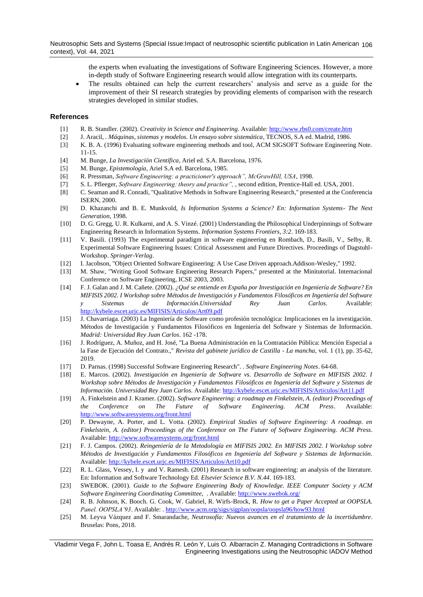Neutrosophic Sets and Systems {Special Issue:Impact of neutrosophic scientific publication in Latin American 106 context}, Vol. 44, 2021

> the experts when evaluating the investigations of Software Engineering Sciences. However, a more in-depth study of Software Engineering research would allow integration with its counterparts.

• The results obtained can help the current researchers' analysis and serve as a guide for the improvement of their SI research strategies by providing elements of comparison with the research strategies developed in similar studies.

## **References**

- <span id="page-6-0"></span>[1] R. B. Standler. (2002). *Creativity in Science and Engineering*. Available:<http://www.rbs0.com/create.htm>
- <span id="page-6-1"></span>[2] J. Aracil, *. Máquinas, sistemas y modelos. Un ensayo sobre sistemática*, TECNOS, S.A ed. Madrid, 1986.
- <span id="page-6-2"></span>[3] K. B. A. (1996) Evaluating software engineering methods and tool, ACM SIGSOFT Software Engineering Note. 11-15.
- <span id="page-6-3"></span>[4] M. Bunge, *La Investigación Científica*, Ariel ed. S.A. Barcelona, 1976.
- <span id="page-6-4"></span>[5] M. Bunge, *Epistemología*, Ariel S.A ed. Barcelona, 1985.
- <span id="page-6-5"></span>[6] R. Pressman, *Software Engineering: a practicioner's approach", McGrawHill, USA*, 1998.
- <span id="page-6-6"></span>[7] S. L. Pfleeger, *Software Engineering: theory and practice",* , second edition, Prentice-Hall ed. USA, 2001.
- <span id="page-6-7"></span>[8] C. Seaman and R. Conradi, "Qualitative Methods in Software Engineering Research," presented at the Conferencia ISERN, 2000.
- <span id="page-6-8"></span>[9] D. Khazanchi and B. E. Munkvold, *Is Information Systems a Science? En: Information Systems- The Next Generation*, 1998.
- <span id="page-6-9"></span>[10] D. G. Gregg, U. R. Kulkarni, and A. S. Vinzé. (2001) Understanding the Philosophical Underpinnings of Software Engineering Research in Information Systems. *Information Systems Frontiers, 3:2*. 169-183.
- <span id="page-6-10"></span>[11] V. Basili. (1993) The experimental paradigm in software engineering en Rombach, D., Basili, V., Selby, R. Experimental Software Engineering Issues: Critical Assessment and Future Directives. Proceedings of Dagstuhl-Workshop. *Springer-Verlag*.
- <span id="page-6-11"></span>[12] I. Jacobson, "Object Oriented Software Engineering: A Use Case Driven approach.Addison-Wesley," 1992.
- <span id="page-6-12"></span>[13] M. Shaw, "Writing Good Software Engineering Research Papers," presented at the Minitutorial. Internacional Conference on Software Engineering, ICSE 2003, 2003.
- <span id="page-6-13"></span>[14] F. J. Galan and J. M. Cañete. (2002). *¿Qué se entiende en España por Investigación en Ingeniería de Software? En MIFISIS 2002. I Workshop sobre Métodos de Investigación y Fundamentos Filosóficos en Ingeniería del Software y Sistemas de Información.Universidad Rey Juan Carlos.* Available: <http://kybele.escet.urjc.es/MIFISIS/Articulos/Art09.pdf>
- <span id="page-6-14"></span>[15] J. Chavarriaga. (2003) La Ingeniería de Software como profesión tecnológica: Implicaciones en la investigación. Métodos de Investigación y Fundamentos Filosóficos en Ingeniería del Software y Sistemas de Información. *Madrid: Universidad Rey Juan Carlos*. 162 -178.
- <span id="page-6-15"></span>[16] J. Rodríguez, A. Muñoz, and H. José, "La Buena Administración en la Contratación Pública: Mención Especial a la Fase de Ejecución del Contrato.," *Revista del gabinete jurídico de Castilla - La mancha,* vol. 1 (1), pp. 35-62, 2019.
- <span id="page-6-16"></span>[17] D. Parnas. (1998) Successful Software Engineering Research". . *Software Engineering Notes*. 64-68.
- <span id="page-6-17"></span>[18] E. Marcos. (2002). *Investigación en Ingeniería de Software vs. Desarrollo de Software en MIFISIS 2002. I Workshop sobre Métodos de Investigación y Fundamentos Filosóficos en Ingeniería del Software y Sistemas de Información. Universidad Rey Juan Carlos.* Available[: http://kybele.escet.urjc.es/MIFISIS/Articulos/Art11.pdf](http://kybele.escet.urjc.es/MIFISIS/Articulos/Art11.pdf)
- <span id="page-6-18"></span>[19] A. Finkelstein and J. Kramer. (2002). *Software Engineering: a roadmap en Finkelstein, A. (editor) Proceedings of the Conference on The Future of Software Engineering. ACM Press*. Available: <http://www.softwaresystems.org/front.html>
- <span id="page-6-19"></span>[20] P. Dewayne, A. Porter, and L. Votta. (2002). *Empirical Studies of Software Engineering: A roadmap. en Finkelstein, A. (editor) Proceedings of the Conference on The Future of Software Engineering. ACM Press*. Available:<http://www.softwaresystems.org/front.html>
- <span id="page-6-20"></span>[21] F. J. Campos. (2002). *Reingeniería de la Metodología en MIFISIS 2002. En MIFISIS 2002. I Workshop sobre Métodos de Investigación y Fundamentos Filosóficos en Ingeniería del Software y Sistemas de Información*. Available:<http://kybele.escet.urjc.es/MIFISIS/Articulos/Art10.pdf>
- <span id="page-6-21"></span>[22] R. L. Glass, Vessey, I. y and V. Ramesh. (2001) Research in software engineering: an analysis of the literature. En: Information and Software Technology Ed. *Elsevier Science B.V. N.44*. 169-183.
- <span id="page-6-22"></span>[23] SWEBOK. (2001). *Guide to the Software Engineering Body of Knowledge. IEEE Computer Society y ACM Software Engineering Coordinating Committee,* . Available:<http://www.swebok.org/>
- <span id="page-6-23"></span>[24] R. B. Johnson, K. Booch. G. Cook, W. Gabriel, R. Wirfs-Brock, R. *How to get a Paper Accepted at OOPSLA.*  Panel. OOPSLA'93. Available: [. http://www.acm.org/sigs/sigplan/oopsla/oopsla96/how93.html](http://www.acm.org/sigs/sigplan/oopsla/oopsla96/how93.html)
- <span id="page-6-24"></span>[25] M. Leyva Vázquez and F. Smarandache, *Neutrosofía: Nuevos avances en el tratamiento de la incertidumbre*. Bruselas: Pons, 2018.

Vladimir Vega F, John L. Toasa E, Andrés R. León Y, Luis O. Albarracín Z. Managing Contradictions in Software Engineering Investigations using the Neutrosophic IADOV Method